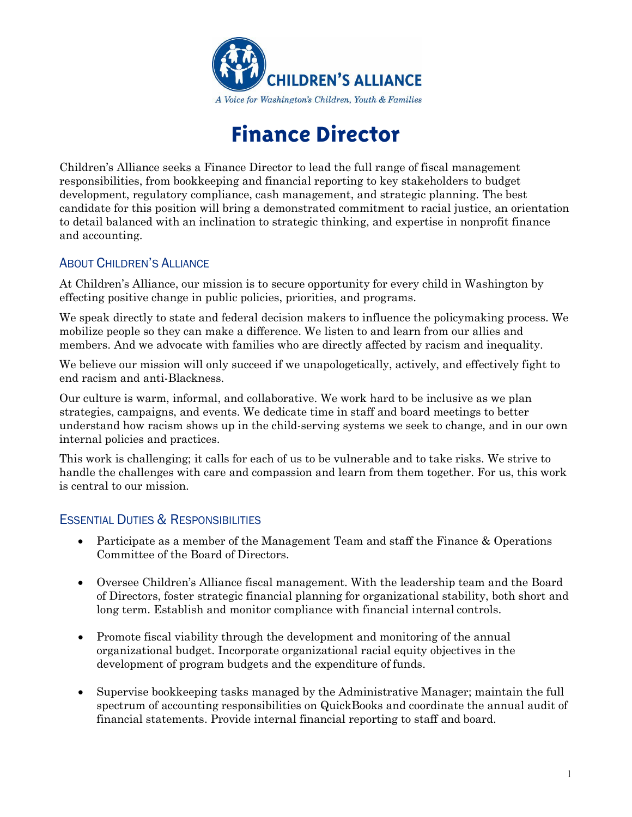

# **Finance Director**

Children's Alliance seeks a Finance Director to lead the full range of fiscal management responsibilities, from bookkeeping and financial reporting to key stakeholders to budget development, regulatory compliance, cash management, and strategic planning. The best candidate for this position will bring a demonstrated commitment to racial justice, an orientation to detail balanced with an inclination to strategic thinking, and expertise in nonprofit finance and accounting.

# ABOUT CHILDREN'S ALLIANCE

At Children's Alliance, our mission is to secure opportunity for every child in Washington by effecting positive change in public policies, priorities, and programs.

We speak directly to state and federal decision makers to influence the policymaking process. We mobilize people so they can make a difference. We listen to and learn from our allies and members. And we advocate with families who are directly affected by racism and inequality.

We believe our mission will only succeed if we unapologetically, actively, and effectively fight to end racism and anti-Blackness.

Our culture is warm, informal, and collaborative. We work hard to be inclusive as we plan strategies, campaigns, and events. We dedicate time in staff and board meetings to better understand how racism shows up in the child-serving systems we seek to change, and in our own internal policies and practices.

This work is challenging; it calls for each of us to be vulnerable and to take risks. We strive to handle the challenges with care and compassion and learn from them together. For us, this work is central to our mission.

# ESSENTIAL DUTIES & RESPONSIBILITIES

- Participate as a member of the Management Team and staff the Finance & Operations Committee of the Board of Directors.
- Oversee Children's Alliance fiscal management. With the leadership team and the Board of Directors, foster strategic financial planning for organizational stability, both short and long term. Establish and monitor compliance with financial internal controls.
- Promote fiscal viability through the development and monitoring of the annual organizational budget. Incorporate organizational racial equity objectives in the development of program budgets and the expenditure of funds.
- Supervise bookkeeping tasks managed by the Administrative Manager; maintain the full spectrum of accounting responsibilities on QuickBooks and coordinate the annual audit of financial statements. Provide internal financial reporting to staff and board.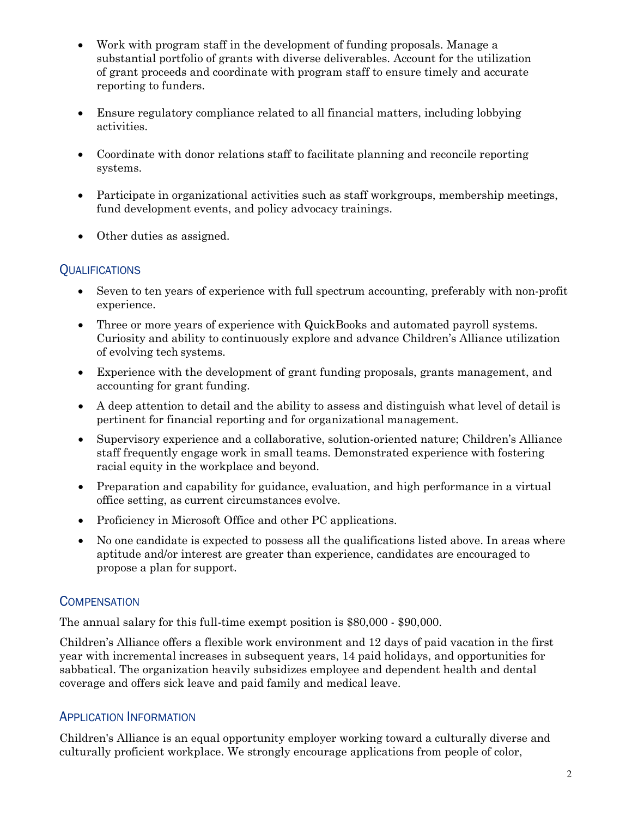- Work with program staff in the development of funding proposals. Manage a substantial portfolio of grants with diverse deliverables. Account for the utilization of grant proceeds and coordinate with program staff to ensure timely and accurate reporting to funders.
- Ensure regulatory compliance related to all financial matters, including lobbying activities.
- Coordinate with donor relations staff to facilitate planning and reconcile reporting systems.
- Participate in organizational activities such as staff workgroups, membership meetings, fund development events, and policy advocacy trainings.
- Other duties as assigned.

### **QUALIFICATIONS**

- Seven to ten years of experience with full spectrum accounting, preferably with non-profit experience.
- Three or more years of experience with QuickBooks and automated payroll systems. Curiosity and ability to continuously explore and advance Children's Alliance utilization of evolving tech systems.
- Experience with the development of grant funding proposals, grants management, and accounting for grant funding.
- A deep attention to detail and the ability to assess and distinguish what level of detail is pertinent for financial reporting and for organizational management.
- Supervisory experience and a collaborative, solution-oriented nature; Children's Alliance staff frequently engage work in small teams. Demonstrated experience with fostering racial equity in the workplace and beyond.
- Preparation and capability for guidance, evaluation, and high performance in a virtual office setting, as current circumstances evolve.
- Proficiency in Microsoft Office and other PC applications.
- No one candidate is expected to possess all the qualifications listed above. In areas where aptitude and/or interest are greater than experience, candidates are encouraged to propose a plan for support.

# **COMPENSATION**

The annual salary for this full-time exempt position is \$80,000 - \$90,000.

Children's Alliance offers a flexible work environment and 12 days of paid vacation in the first year with incremental increases in subsequent years, 14 paid holidays, and opportunities for sabbatical. The organization heavily subsidizes employee and dependent health and dental coverage and offers sick leave and paid family and medical leave.

# APPLICATION INFORMATION

Children's Alliance is an equal opportunity employer working toward a culturally diverse and culturally proficient workplace. We strongly encourage applications from people of color,